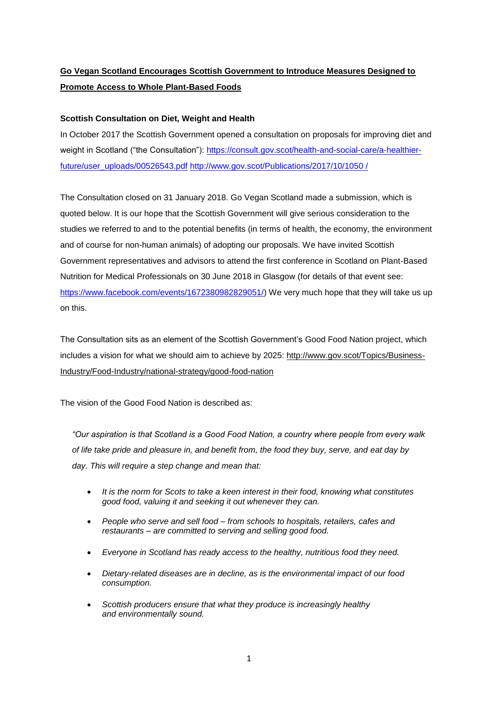# **Go Vegan Scotland Encourages Scottish Government to Introduce Measures Designed to Promote Access to Whole Plant-Based Foods**

## **Scottish Consultation on Diet, Weight and Health**

In October 2017 the Scottish Government opened a consultation on proposals for improving diet and weight in Scotland ("the Consultation"): [https://consult.gov.scot/health-and-social-care/a-healthier](https://consult.gov.scot/health-and-social-care/a-healthier-future/user_uploads/00526543.pdf)[future/user\\_uploads/00526543.pdf](https://consult.gov.scot/health-and-social-care/a-healthier-future/user_uploads/00526543.pdf) [http://www.gov.scot/Publications/2017/10/1050](http://www.gov.scot/Publications/2017/10/1050 /) /

The Consultation closed on 31 January 2018. Go Vegan Scotland made a submission, which is quoted below. It is our hope that the Scottish Government will give serious consideration to the studies we referred to and to the potential benefits (in terms of health, the economy, the environment and of course for non-human animals) of adopting our proposals. We have invited Scottish Government representatives and advisors to attend the first conference in Scotland on Plant-Based Nutrition for Medical Professionals on 30 June 2018 in Glasgow (for details of that event see: [https://www.facebook.com/events/1672380982829051/\)](https://www.facebook.com/events/1672380982829051/) We very much hope that they will take us up on this.

The Consultation sits as an element of the Scottish Government's Good Food Nation project, which includes a vision for what we should aim to achieve by 2025: [http://www.gov.scot/Topics/Business-](http://www.gov.scot/Topics/Business-Industry/Food-Industry/national-strategy/good-food-nation)[Industry/Food-Industry/national-strategy/good-food-nation](http://www.gov.scot/Topics/Business-Industry/Food-Industry/national-strategy/good-food-nation)

The vision of the Good Food Nation is described as:

*"Our aspiration is that Scotland is a Good Food Nation, a country where people from every walk of life take pride and pleasure in, and benefit from, the food they buy, serve, and eat day by day. This will require a step change and mean that:*

- *It is the norm for Scots to take a keen interest in their food, knowing what constitutes good food, valuing it and seeking it out whenever they can.*
- *People who serve and sell food – from schools to hospitals, retailers, cafes and restaurants – are committed to serving and selling good food.*
- *Everyone in Scotland has ready access to the healthy, nutritious food they need.*
- *Dietary-related diseases are in decline, as is the environmental impact of our food consumption.*
- *Scottish producers ensure that what they produce is increasingly healthy and environmentally sound.*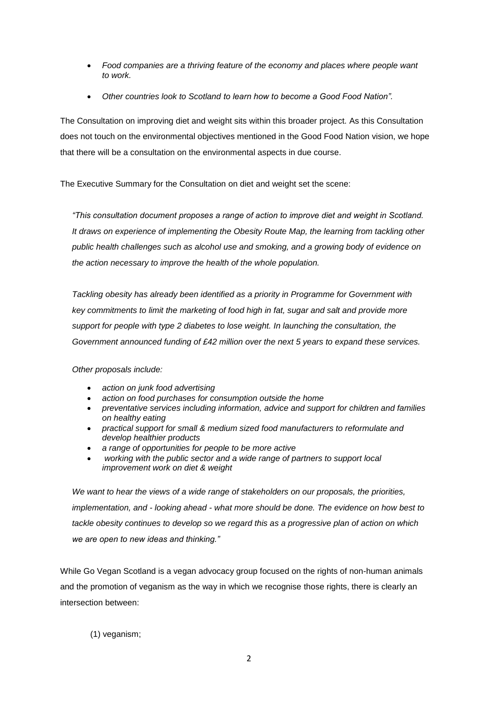- *Food companies are a thriving feature of the economy and places where people want to work.*
- *Other countries look to Scotland to learn how to become a Good Food Nation".*

The Consultation on improving diet and weight sits within this broader project. As this Consultation does not touch on the environmental objectives mentioned in the Good Food Nation vision, we hope that there will be a consultation on the environmental aspects in due course.

The Executive Summary for the Consultation on diet and weight set the scene:

*"This consultation document proposes a range of action to improve diet and weight in Scotland. It draws on experience of implementing the Obesity Route Map, the learning from tackling other public health challenges such as alcohol use and smoking, and a growing body of evidence on the action necessary to improve the health of the whole population.*

*Tackling obesity has already been identified as a priority in Programme for Government with key commitments to limit the marketing of food high in fat, sugar and salt and provide more support for people with type 2 diabetes to lose weight. In launching the consultation, the Government announced funding of £42 million over the next 5 years to expand these services.*

*Other proposals include:*

- *action on junk food advertising*
- *action on food purchases for consumption outside the home*
- *preventative services including information, advice and support for children and families on healthy eating*
- *practical support for small & medium sized food manufacturers to reformulate and develop healthier products*
- *a range of opportunities for people to be more active*
- *working with the public sector and a wide range of partners to support local improvement work on diet & weight*

*We want to hear the views of a wide range of stakeholders on our proposals, the priorities, implementation, and - looking ahead - what more should be done. The evidence on how best to tackle obesity continues to develop so we regard this as a progressive plan of action on which we are open to new ideas and thinking."*

While Go Vegan Scotland is a vegan advocacy group focused on the rights of non-human animals and the promotion of veganism as the way in which we recognise those rights, there is clearly an intersection between:

(1) veganism;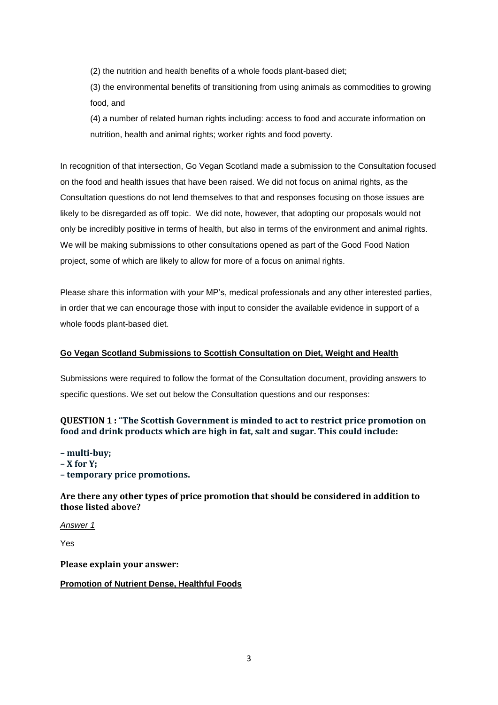(2) the nutrition and health benefits of a whole foods plant-based diet;

(3) the environmental benefits of transitioning from using animals as commodities to growing food, and

(4) a number of related human rights including: access to food and accurate information on nutrition, health and animal rights; worker rights and food poverty.

In recognition of that intersection, Go Vegan Scotland made a submission to the Consultation focused on the food and health issues that have been raised. We did not focus on animal rights, as the Consultation questions do not lend themselves to that and responses focusing on those issues are likely to be disregarded as off topic. We did note, however, that adopting our proposals would not only be incredibly positive in terms of health, but also in terms of the environment and animal rights. We will be making submissions to other consultations opened as part of the Good Food Nation project, some of which are likely to allow for more of a focus on animal rights.

Please share this information with your MP's, medical professionals and any other interested parties, in order that we can encourage those with input to consider the available evidence in support of a whole foods plant-based diet.

## **Go Vegan Scotland Submissions to Scottish Consultation on Diet, Weight and Health**

Submissions were required to follow the format of the Consultation document, providing answers to specific questions. We set out below the Consultation questions and our responses:

# **QUESTION 1 : "The Scottish Government is minded to act to restrict price promotion on food and drink products which are high in fat, salt and sugar. This could include:**

**– multi-buy;**

- **– X for Y;**
- **– temporary price promotions.**

**Are there any other types of price promotion that should be considered in addition to those listed above?**

*Answer 1*

Yes

**Please explain your answer:**

### **Promotion of Nutrient Dense, Healthful Foods**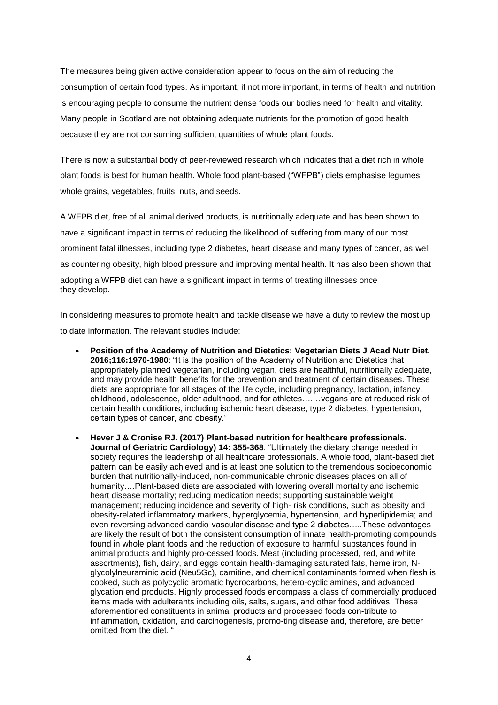The measures being given active consideration appear to focus on the aim of reducing the consumption of certain food types. As important, if not more important, in terms of health and nutrition is encouraging people to consume the nutrient dense foods our bodies need for health and vitality. Many people in Scotland are not obtaining adequate nutrients for the promotion of good health because they are not consuming sufficient quantities of whole plant foods.

There is now a substantial body of peer-reviewed research which indicates that a diet rich in whole plant foods is best for human health. Whole food plant-based ("WFPB") diets emphasise legumes, whole grains, vegetables, fruits, nuts, and seeds.

A WFPB diet, free of all animal derived products, is nutritionally adequate and has been shown to have a significant impact in terms of reducing the likelihood of suffering from many of our most prominent fatal illnesses, including type 2 diabetes, heart disease and many types of cancer, as well as countering obesity, high blood pressure and improving mental health. It has also been shown that adopting a WFPB diet can have a significant impact in terms of treating illnesses once they develop.

In considering measures to promote health and tackle disease we have a duty to review the most up to date information. The relevant studies include:

- **Position of the Academy of Nutrition and Dietetics: Vegetarian Diets J Acad Nutr Diet. 2016;116:1970-1980**: "It is the position of the Academy of Nutrition and Dietetics that appropriately planned vegetarian, including vegan, diets are healthful, nutritionally adequate, and may provide health benefits for the prevention and treatment of certain diseases. These diets are appropriate for all stages of the life cycle, including pregnancy, lactation, infancy, childhood, adolescence, older adulthood, and for athletes….…vegans are at reduced risk of certain health conditions, including ischemic heart disease, type 2 diabetes, hypertension, certain types of cancer, and obesity."
- **Hever J & Cronise RJ. (2017) Plant-based nutrition for healthcare professionals. Journal of Geriatric Cardiology) 14: 355-368**. "Ultimately the dietary change needed in society requires the leadership of all healthcare professionals. A whole food, plant-based diet pattern can be easily achieved and is at least one solution to the tremendous socioeconomic burden that nutritionally-induced, non-communicable chronic diseases places on all of humanity….Plant-based diets are associated with lowering overall mortality and ischemic heart disease mortality; reducing medication needs; supporting sustainable weight management; reducing incidence and severity of high- risk conditions, such as obesity and obesity-related inflammatory markers, hyperglycemia, hypertension, and hyperlipidemia; and even reversing advanced cardio-vascular disease and type 2 diabetes…..These advantages are likely the result of both the consistent consumption of innate health-promoting compounds found in whole plant foods and the reduction of exposure to harmful substances found in animal products and highly pro-cessed foods. Meat (including processed, red, and white assortments), fish, dairy, and eggs contain health-damaging saturated fats, heme iron, Nglycolylneuraminic acid (Neu5Gc), carnitine, and chemical contaminants formed when flesh is cooked, such as polycyclic aromatic hydrocarbons, hetero-cyclic amines, and advanced glycation end products. Highly processed foods encompass a class of commercially produced items made with adulterants including oils, salts, sugars, and other food additives. These aforementioned constituents in animal products and processed foods con-tribute to inflammation, oxidation, and carcinogenesis, promo-ting disease and, therefore, are better omitted from the diet.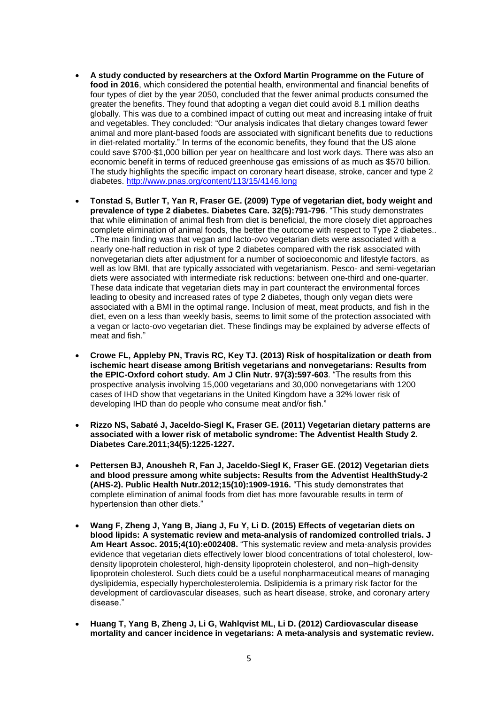- **A study conducted by researchers at the Oxford Martin Programme on the Future of food in 2016**, which considered the potential health, environmental and financial benefits of four types of diet by the year 2050, concluded that the fewer animal products consumed the greater the benefits. They found that adopting a vegan diet could avoid 8.1 million deaths globally. This was due to a combined impact of cutting out meat and increasing intake of fruit and vegetables. They concluded: "Our analysis indicates that dietary changes toward fewer animal and more plant-based foods are associated with significant benefits due to reductions in diet-related mortality." In terms of the economic benefits, they found that the US alone could save \$700-\$1,000 billion per year on healthcare and lost work days. There was also an economic benefit in terms of reduced greenhouse gas emissions of as much as \$570 billion. The study highlights the specific impact on coronary heart disease, stroke, cancer and type 2 diabetes.<http://www.pnas.org/content/113/15/4146.long>
- **Tonstad S, Butler T, Yan R, Fraser GE. (2009) Type of vegetarian diet, body weight and prevalence of type 2 diabetes. Diabetes Care. 32(5):791-796**. "This study demonstrates that while elimination of animal flesh from diet is beneficial, the more closely diet approaches complete elimination of animal foods, the better the outcome with respect to Type 2 diabetes.. ..The main finding was that vegan and lacto-ovo vegetarian diets were associated with a nearly one-half reduction in risk of type 2 diabetes compared with the risk associated with nonvegetarian diets after adjustment for a number of socioeconomic and lifestyle factors, as well as low BMI, that are typically associated with vegetarianism. Pesco- and semi-vegetarian diets were associated with intermediate risk reductions: between one-third and one-quarter. These data indicate that vegetarian diets may in part counteract the environmental forces leading to obesity and increased rates of type 2 diabetes, though only vegan diets were associated with a BMI in the optimal range. Inclusion of meat, meat products, and fish in the diet, even on a less than weekly basis, seems to limit some of the protection associated with a vegan or lacto-ovo vegetarian diet. These findings may be explained by adverse effects of meat and fish."
- **Crowe FL, Appleby PN, Travis RC, Key TJ. (2013) Risk of hospitalization or death from ischemic heart disease among British vegetarians and nonvegetarians: Results from the EPIC-Oxford cohort study. Am J Clin Nutr. 97(3):597-603**. "The results from this prospective analysis involving 15,000 vegetarians and 30,000 nonvegetarians with 1200 cases of IHD show that vegetarians in the United Kingdom have a 32% lower risk of developing IHD than do people who consume meat and/or fish."
- **Rizzo NS, Sabaté J, Jaceldo-Siegl K, Fraser GE. (2011) Vegetarian dietary patterns are associated with a lower risk of metabolic syndrome: The Adventist Health Study 2. Diabetes Care.2011;34(5):1225-1227.**
- **Pettersen BJ, Anousheh R, Fan J, Jaceldo-Siegl K, Fraser GE. (2012) Vegetarian diets and blood pressure among white subjects: Results from the Adventist HealthStudy-2 (AHS-2). Public Health Nutr.2012;15(10):1909-1916.** "This study demonstrates that complete elimination of animal foods from diet has more favourable results in term of hypertension than other diets."
- **Wang F, Zheng J, Yang B, Jiang J, Fu Y, Li D. (2015) Effects of vegetarian diets on blood lipids: A systematic review and meta-analysis of randomized controlled trials. J Am Heart Assoc. 2015;4(10):e002408.** "This systematic review and meta-analysis provides evidence that vegetarian diets effectively lower blood concentrations of total cholesterol, lowdensity lipoprotein cholesterol, high-density lipoprotein cholesterol, and non–high-density lipoprotein cholesterol. Such diets could be a useful nonpharmaceutical means of managing dyslipidemia, especially hypercholesterolemia. Dslipidemia is a primary risk factor for the development of cardiovascular diseases, such as heart disease, stroke, and coronary artery disease."
- **Huang T, Yang B, Zheng J, Li G, Wahlqvist ML, Li D. (2012) Cardiovascular disease mortality and cancer incidence in vegetarians: A meta-analysis and systematic review.**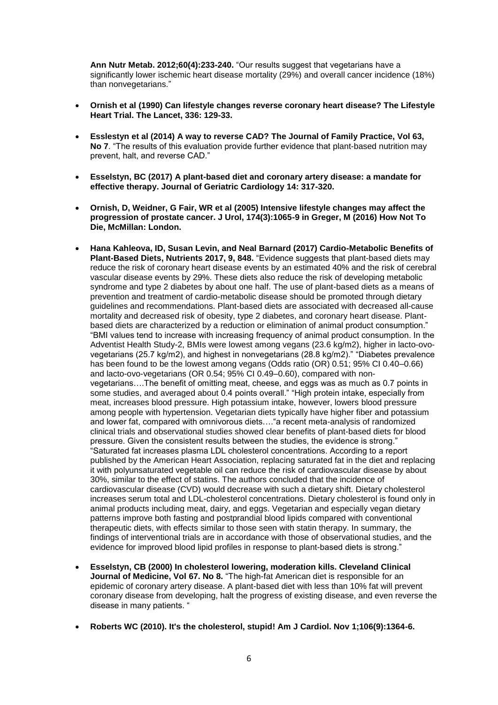**Ann Nutr Metab. 2012;60(4):233-240.** "Our results suggest that vegetarians have a significantly lower ischemic heart disease mortality (29%) and overall cancer incidence (18%) than nonvegetarians."

- **Ornish et al (1990) Can lifestyle changes reverse coronary heart disease? The Lifestyle Heart Trial. The Lancet, 336: 129-33.**
- **Esslestyn et al (2014) A way to reverse CAD? The Journal of Family Practice, Vol 63, No 7.** "The results of this evaluation provide further evidence that plant-based nutrition may prevent, halt, and reverse CAD."
- **Esselstyn, BC (2017) A plant-based diet and coronary artery disease: a mandate for effective therapy. Journal of Geriatric Cardiology 14: 317-320.**
- **Ornish, D, Weidner, G Fair, WR et al (2005) Intensive lifestyle changes may affect the progression of prostate cancer. J Urol, 174(3):1065-9 in Greger, M (2016) How Not To Die, McMillan: London.**
- **Hana Kahleova, ID, Susan Levin, and Neal Barnard (2017) Cardio-Metabolic Benefits of Plant-Based Diets, Nutrients 2017, 9, 848.** "Evidence suggests that plant-based diets may reduce the risk of coronary heart disease events by an estimated 40% and the risk of cerebral vascular disease events by 29%. These diets also reduce the risk of developing metabolic syndrome and type 2 diabetes by about one half. The use of plant-based diets as a means of prevention and treatment of cardio-metabolic disease should be promoted through dietary guidelines and recommendations. Plant-based diets are associated with decreased all-cause mortality and decreased risk of obesity, type 2 diabetes, and coronary heart disease. Plantbased diets are characterized by a reduction or elimination of animal product consumption." "BMI values tend to increase with increasing frequency of animal product consumption. In the Adventist Health Study-2, BMIs were lowest among vegans (23.6 kg/m2), higher in lacto-ovovegetarians (25.7 kg/m2), and highest in nonvegetarians (28.8 kg/m2)." "Diabetes prevalence has been found to be the lowest among vegans (Odds ratio (OR) 0.51; 95% CI 0.40–0.66) and lacto-ovo-vegetarians (OR 0.54; 95% CI 0.49–0.60), compared with nonvegetarians….The benefit of omitting meat, cheese, and eggs was as much as 0.7 points in some studies, and averaged about 0.4 points overall." "High protein intake, especially from meat, increases blood pressure. High potassium intake, however, lowers blood pressure among people with hypertension. Vegetarian diets typically have higher fiber and potassium and lower fat, compared with omnivorous diets…."a recent meta-analysis of randomized clinical trials and observational studies showed clear benefits of plant-based diets for blood pressure. Given the consistent results between the studies, the evidence is strong." "Saturated fat increases plasma LDL cholesterol concentrations. According to a report published by the American Heart Association, replacing saturated fat in the diet and replacing it with polyunsaturated vegetable oil can reduce the risk of cardiovascular disease by about 30%, similar to the effect of statins. The authors concluded that the incidence of cardiovascular disease (CVD) would decrease with such a dietary shift. Dietary cholesterol increases serum total and LDL-cholesterol concentrations. Dietary cholesterol is found only in animal products including meat, dairy, and eggs. Vegetarian and especially vegan dietary patterns improve both fasting and postprandial blood lipids compared with conventional therapeutic diets, with effects similar to those seen with statin therapy. In summary, the findings of interventional trials are in accordance with those of observational studies, and the evidence for improved blood lipid profiles in response to plant-based diets is strong."
- **Esselstyn, CB (2000) In cholesterol lowering, moderation kills. Cleveland Clinical Journal of Medicine, Vol 67. No 8.** "The high-fat American diet is responsible for an epidemic of coronary artery disease. A plant-based diet with less than 10% fat will prevent coronary disease from developing, halt the progress of existing disease, and even reverse the disease in many patients. "
- **Roberts WC (2010). It's the cholesterol, stupid! Am J Cardiol. Nov 1;106(9):1364-6.**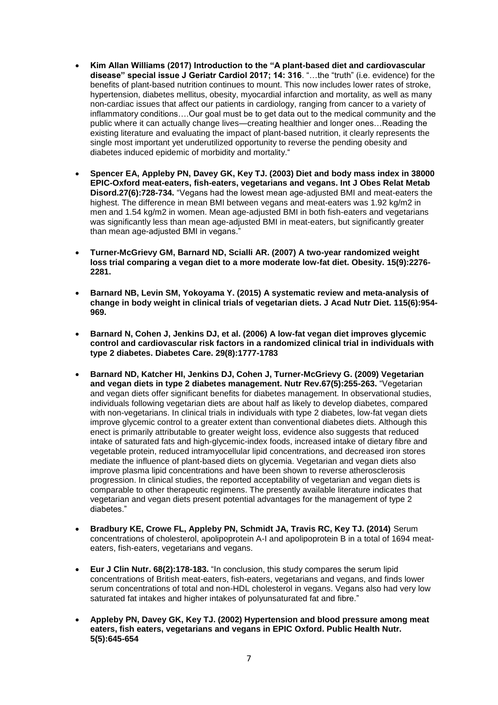- **Kim Allan Williams (2017) Introduction to the "A plant-based diet and cardiovascular disease" special issue J Geriatr Cardiol 2017; 14: 316**. "…the "truth" (i.e. evidence) for the benefits of plant-based nutrition continues to mount. This now includes lower rates of stroke, hypertension, diabetes mellitus, obesity, myocardial infarction and mortality, as well as many non-cardiac issues that affect our patients in cardiology, ranging from cancer to a variety of inflammatory conditions….Our goal must be to get data out to the medical community and the public where it can actually change lives—creating healthier and longer ones…Reading the existing literature and evaluating the impact of plant-based nutrition, it clearly represents the single most important yet underutilized opportunity to reverse the pending obesity and diabetes induced epidemic of morbidity and mortality."
- **Spencer EA, Appleby PN, Davey GK, Key TJ. (2003) Diet and body mass index in 38000 EPIC-Oxford meat-eaters, fish-eaters, vegetarians and vegans. Int J Obes Relat Metab Disord.27(6):728-734.** "Vegans had the lowest mean age-adjusted BMI and meat-eaters the highest. The difference in mean BMI between vegans and meat-eaters was 1.92 kg/m2 in men and 1.54 kg/m2 in women. Mean age-adjusted BMI in both fish-eaters and vegetarians was significantly less than mean age-adjusted BMI in meat-eaters, but significantly greater than mean age-adjusted BMI in vegans."
- **Turner-McGrievy GM, Barnard ND, Scialli AR. (2007) A two-year randomized weight loss trial comparing a vegan diet to a more moderate low-fat diet. Obesity. 15(9):2276- 2281.**
- **Barnard NB, Levin SM, Yokoyama Y. (2015) A systematic review and meta-analysis of change in body weight in clinical trials of vegetarian diets. J Acad Nutr Diet. 115(6):954- 969.**
- **Barnard N, Cohen J, Jenkins DJ, et al. (2006) A low-fat vegan diet improves glycemic control and cardiovascular risk factors in a randomized clinical trial in individuals with type 2 diabetes. Diabetes Care. 29(8):1777-1783**
- **Barnard ND, Katcher HI, Jenkins DJ, Cohen J, Turner-McGrievy G. (2009) Vegetarian and vegan diets in type 2 diabetes management. Nutr Rev.67(5):255-263.** "Vegetarian and vegan diets offer significant benefits for diabetes management. In observational studies, individuals following vegetarian diets are about half as likely to develop diabetes, compared with non-vegetarians. In clinical trials in individuals with type 2 diabetes, low-fat vegan diets improve glycemic control to a greater extent than conventional diabetes diets. Although this enect is primarily attributable to greater weight loss, evidence also suggests that reduced intake of saturated fats and high-glycemic-index foods, increased intake of dietary fibre and vegetable protein, reduced intramyocellular lipid concentrations, and decreased iron stores mediate the influence of plant-based diets on glycemia. Vegetarian and vegan diets also improve plasma lipid concentrations and have been shown to reverse atherosclerosis progression. In clinical studies, the reported acceptability of vegetarian and vegan diets is comparable to other therapeutic regimens. The presently available literature indicates that vegetarian and vegan diets present potential advantages for the management of type 2 diabetes."
- **Bradbury KE, Crowe FL, Appleby PN, Schmidt JA, Travis RC, Key TJ. (2014)** Serum concentrations of cholesterol, apolipoprotein A-I and apolipoprotein B in a total of 1694 meateaters, fish-eaters, vegetarians and vegans.
- **Eur J Clin Nutr. 68(2):178-183.** "In conclusion, this study compares the serum lipid concentrations of British meat-eaters, fish-eaters, vegetarians and vegans, and finds lower serum concentrations of total and non-HDL cholesterol in vegans. Vegans also had very low saturated fat intakes and higher intakes of polyunsaturated fat and fibre."
- **Appleby PN, Davey GK, Key TJ. (2002) Hypertension and blood pressure among meat eaters, fish eaters, vegetarians and vegans in EPIC Oxford. Public Health Nutr. 5(5):645-654**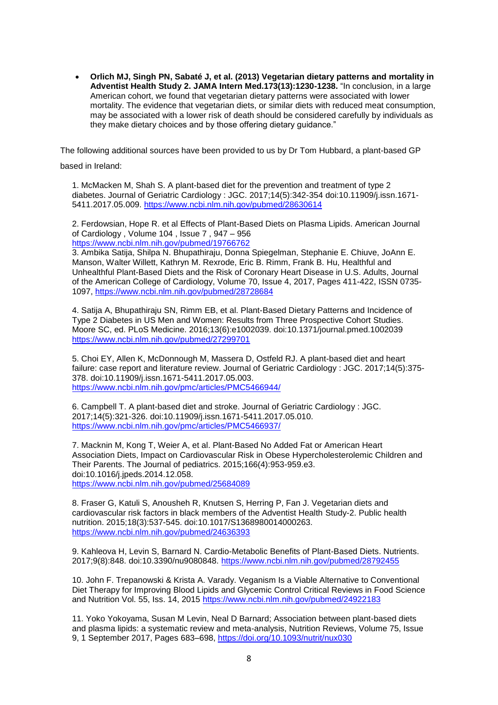**Orlich MJ, Singh PN, Sabaté J, et al. (2013) Vegetarian dietary patterns and mortality in Adventist Health Study 2. JAMA Intern Med.173(13):1230-1238.** "In conclusion, in a large American cohort, we found that vegetarian dietary patterns were associated with lower mortality. The evidence that vegetarian diets, or similar diets with reduced meat consumption, may be associated with a lower risk of death should be considered carefully by individuals as they make dietary choices and by those offering dietary guidance."

The following additional sources have been provided to us by Dr Tom Hubbard, a plant-based GP

based in Ireland:

1. McMacken M, Shah S. A plant-based diet for the prevention and treatment of type 2 diabetes. Journal of Geriatric Cardiology : JGC. 2017;14(5):342-354 doi:10.11909/j.issn.1671- 5411.2017.05.009.<https://www.ncbi.nlm.nih.gov/pubmed/28630614>

2. Ferdowsian, Hope R. et al Effects of Plant-Based Diets on Plasma Lipids. American Journal of Cardiology , Volume 104 , Issue 7 , 947 – 956 <https://www.ncbi.nlm.nih.gov/pubmed/19766762>

3. Ambika Satija, Shilpa N. Bhupathiraju, Donna Spiegelman, Stephanie E. Chiuve, JoAnn E. Manson, Walter Willett, Kathryn M. Rexrode, Eric B. Rimm, Frank B. Hu, Healthful and Unhealthful Plant-Based Diets and the Risk of Coronary Heart Disease in U.S. Adults, Journal of the American College of Cardiology, Volume 70, Issue 4, 2017, Pages 411-422, ISSN 0735- 1097, <https://www.ncbi.nlm.nih.gov/pubmed/28728684>

4. Satija A, Bhupathiraju SN, Rimm EB, et al. Plant-Based Dietary Patterns and Incidence of Type 2 Diabetes in US Men and Women: Results from Three Prospective Cohort Studies. Moore SC, ed. PLoS Medicine. 2016;13(6):e1002039. doi:10.1371/journal.pmed.1002039 <https://www.ncbi.nlm.nih.gov/pubmed/27299701>

5. Choi EY, Allen K, McDonnough M, Massera D, Ostfeld RJ. A plant-based diet and heart failure: case report and literature review. Journal of Geriatric Cardiology : JGC. 2017;14(5):375- 378. doi:10.11909/j.issn.1671-5411.2017.05.003. <https://www.ncbi.nlm.nih.gov/pmc/articles/PMC5466944/>

6. Campbell T. A plant-based diet and stroke. Journal of Geriatric Cardiology : JGC. 2017;14(5):321-326. doi:10.11909/j.issn.1671-5411.2017.05.010. <https://www.ncbi.nlm.nih.gov/pmc/articles/PMC5466937/>

7. Macknin M, Kong T, Weier A, et al. Plant-Based No Added Fat or American Heart Association Diets, Impact on Cardiovascular Risk in Obese Hypercholesterolemic Children and Their Parents. The Journal of pediatrics. 2015;166(4):953-959.e3. doi:10.1016/j.jpeds.2014.12.058. <https://www.ncbi.nlm.nih.gov/pubmed/25684089>

8. Fraser G, Katuli S, Anousheh R, Knutsen S, Herring P, Fan J. Vegetarian diets and cardiovascular risk factors in black members of the Adventist Health Study-2. Public health nutrition. 2015;18(3):537-545. doi:10.1017/S1368980014000263. <https://www.ncbi.nlm.nih.gov/pubmed/24636393>

9. Kahleova H, Levin S, Barnard N. Cardio-Metabolic Benefits of Plant-Based Diets. Nutrients. 2017;9(8):848. doi:10.3390/nu9080848. <https://www.ncbi.nlm.nih.gov/pubmed/28792455>

10. John F. Trepanowski & Krista A. Varady. Veganism Is a Viable Alternative to Conventional Diet Therapy for Improving Blood Lipids and Glycemic Control Critical Reviews in Food Science and Nutrition Vol. 55, Iss. 14, 2015<https://www.ncbi.nlm.nih.gov/pubmed/24922183>

11. Yoko Yokoyama, Susan M Levin, Neal D Barnard; Association between plant-based diets and plasma lipids: a systematic review and meta-analysis, Nutrition Reviews, Volume 75, Issue 9, 1 September 2017, Pages 683–698,<https://doi.org/10.1093/nutrit/nux030>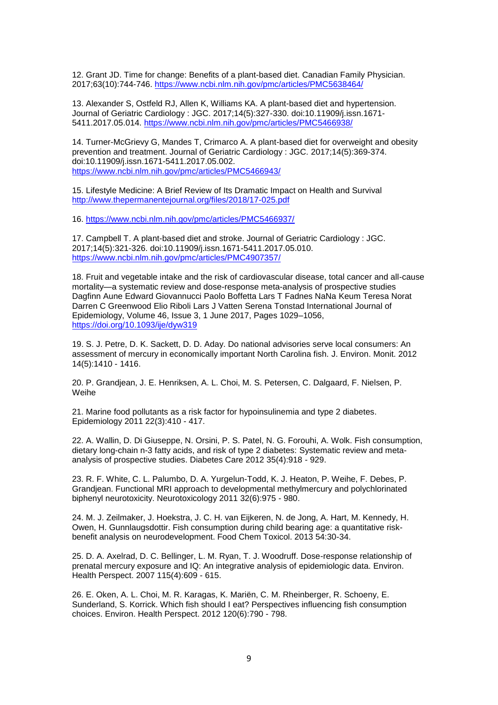12. Grant JD. Time for change: Benefits of a plant-based diet. Canadian Family Physician. 2017;63(10):744-746. <https://www.ncbi.nlm.nih.gov/pmc/articles/PMC5638464/>

13. Alexander S, Ostfeld RJ, Allen K, Williams KA. A plant-based diet and hypertension. Journal of Geriatric Cardiology : JGC. 2017;14(5):327-330. doi:10.11909/j.issn.1671- 5411.2017.05.014.<https://www.ncbi.nlm.nih.gov/pmc/articles/PMC5466938/>

14. Turner-McGrievy G, Mandes T, Crimarco A. A plant-based diet for overweight and obesity prevention and treatment. Journal of Geriatric Cardiology : JGC. 2017;14(5):369-374. doi:10.11909/j.issn.1671-5411.2017.05.002. <https://www.ncbi.nlm.nih.gov/pmc/articles/PMC5466943/>

15. Lifestyle Medicine: A Brief Review of Its Dramatic Impact on Health and Survival <http://www.thepermanentejournal.org/files/2018/17-025.pdf>

16.<https://www.ncbi.nlm.nih.gov/pmc/articles/PMC5466937/>

17. Campbell T. A plant-based diet and stroke. Journal of Geriatric Cardiology : JGC. 2017;14(5):321-326. doi:10.11909/j.issn.1671-5411.2017.05.010. <https://www.ncbi.nlm.nih.gov/pmc/articles/PMC4907357/>

18. Fruit and vegetable intake and the risk of cardiovascular disease, total cancer and all-cause mortality—a systematic review and dose-response meta-analysis of prospective studies Dagfinn Aune Edward Giovannucci Paolo Boffetta Lars T Fadnes NaNa Keum Teresa Norat Darren C Greenwood Elio Riboli Lars J Vatten Serena Tonstad International Journal of Epidemiology, Volume 46, Issue 3, 1 June 2017, Pages 1029–1056, <https://doi.org/10.1093/ije/dyw319>

19. S. J. Petre, D. K. Sackett, D. D. Aday. Do national advisories serve local consumers: An assessment of mercury in economically important North Carolina fish. J. Environ. Monit. 2012 14(5):1410 - 1416.

20. P. Grandjean, J. E. Henriksen, A. L. Choi, M. S. Petersen, C. Dalgaard, F. Nielsen, P. Weihe

21. Marine food pollutants as a risk factor for hypoinsulinemia and type 2 diabetes. Epidemiology 2011 22(3):410 - 417.

22. A. Wallin, D. Di Giuseppe, N. Orsini, P. S. Patel, N. G. Forouhi, A. Wolk. Fish consumption, dietary long-chain n-3 fatty acids, and risk of type 2 diabetes: Systematic review and metaanalysis of prospective studies. Diabetes Care 2012 35(4):918 - 929.

23. R. F. White, C. L. Palumbo, D. A. Yurgelun-Todd, K. J. Heaton, P. Weihe, F. Debes, P. Grandjean. Functional MRI approach to developmental methylmercury and polychlorinated biphenyl neurotoxicity. Neurotoxicology 2011 32(6):975 - 980.

24. M. J. Zeilmaker, J. Hoekstra, J. C. H. van Eijkeren, N. de Jong, A. Hart, M. Kennedy, H. Owen, H. Gunnlaugsdottir. Fish consumption during child bearing age: a quantitative riskbenefit analysis on neurodevelopment. Food Chem Toxicol. 2013 54:30-34.

25. D. A. Axelrad, D. C. Bellinger, L. M. Ryan, T. J. Woodruff. Dose-response relationship of prenatal mercury exposure and IQ: An integrative analysis of epidemiologic data. Environ. Health Perspect. 2007 115(4):609 - 615.

26. E. Oken, A. L. Choi, M. R. Karagas, K. Mariën, C. M. Rheinberger, R. Schoeny, E. Sunderland, S. Korrick. Which fish should I eat? Perspectives influencing fish consumption choices. Environ. Health Perspect. 2012 120(6):790 - 798.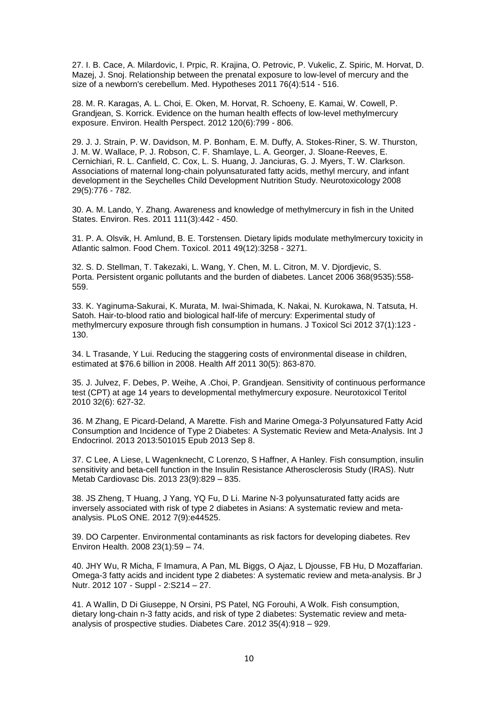27. I. B. Cace, A. Milardovic, I. Prpic, R. Krajina, O. Petrovic, P. Vukelic, Z. Spiric, M. Horvat, D. Mazej, J. Snoj. Relationship between the prenatal exposure to low-level of mercury and the size of a newborn's cerebellum. Med. Hypotheses 2011 76(4):514 - 516.

28. M. R. Karagas, A. L. Choi, E. Oken, M. Horvat, R. Schoeny, E. Kamai, W. Cowell, P. Grandjean, S. Korrick. Evidence on the human health effects of low-level methylmercury exposure. Environ. Health Perspect. 2012 120(6):799 - 806.

29. J. J. Strain, P. W. Davidson, M. P. Bonham, E. M. Duffy, A. Stokes-Riner, S. W. Thurston, J. M. W. Wallace, P. J. Robson, C. F. Shamlaye, L. A. Georger, J. Sloane-Reeves, E. Cernichiari, R. L. Canfield, C. Cox, L. S. Huang, J. Janciuras, G. J. Myers, T. W. Clarkson. Associations of maternal long-chain polyunsaturated fatty acids, methyl mercury, and infant development in the Seychelles Child Development Nutrition Study. Neurotoxicology 2008 29(5):776 - 782.

30. A. M. Lando, Y. Zhang. Awareness and knowledge of methylmercury in fish in the United States. Environ. Res. 2011 111(3):442 - 450.

31. P. A. Olsvik, H. Amlund, B. E. Torstensen. Dietary lipids modulate methylmercury toxicity in Atlantic salmon. Food Chem. Toxicol. 2011 49(12):3258 - 3271.

32. S. D. Stellman, T. Takezaki, L. Wang, Y. Chen, M. L. Citron, M. V. Djordjevic, S. Porta. Persistent organic pollutants and the burden of diabetes. Lancet 2006 368(9535):558- 559.

33. K. Yaginuma-Sakurai, K. Murata, M. Iwai-Shimada, K. Nakai, N. Kurokawa, N. Tatsuta, H. Satoh. Hair-to-blood ratio and biological half-life of mercury: Experimental study of methylmercury exposure through fish consumption in humans. J Toxicol Sci 2012 37(1):123 - 130.

34. L Trasande, Y Lui. Reducing the staggering costs of environmental disease in children, estimated at \$76.6 billion in 2008. Health Aff 2011 30(5): 863-870.

35. J. Julvez, F. Debes, P. Weihe, A .Choi, P. Grandjean. Sensitivity of continuous performance test (CPT) at age 14 years to developmental methylmercury exposure. Neurotoxicol Teritol 2010 32(6): 627-32.

36. M Zhang, E Picard-Deland, A Marette. Fish and Marine Omega-3 Polyunsatured Fatty Acid Consumption and Incidence of Type 2 Diabetes: A Systematic Review and Meta-Analysis. Int J Endocrinol. 2013 2013:501015 Epub 2013 Sep 8.

37. C Lee, A Liese, L Wagenknecht, C Lorenzo, S Haffner, A Hanley. Fish consumption, insulin sensitivity and beta-cell function in the Insulin Resistance Atherosclerosis Study (IRAS). Nutr Metab Cardiovasc Dis. 2013 23(9):829 – 835.

38. JS Zheng, T Huang, J Yang, YQ Fu, D Li. Marine N-3 polyunsaturated fatty acids are inversely associated with risk of type 2 diabetes in Asians: A systematic review and metaanalysis. PLoS ONE. 2012 7(9):e44525.

39. DO Carpenter. Environmental contaminants as risk factors for developing diabetes. Rev Environ Health. 2008 23(1):59 – 74.

40. JHY Wu, R Micha, F Imamura, A Pan, ML Biggs, O Ajaz, L Djousse, FB Hu, D Mozaffarian. Omega-3 fatty acids and incident type 2 diabetes: A systematic review and meta-analysis. Br J Nutr. 2012 107 - Suppl - 2:S214 – 27.

41. A Wallin, D Di Giuseppe, N Orsini, PS Patel, NG Forouhi, A Wolk. Fish consumption, dietary long-chain n-3 fatty acids, and risk of type 2 diabetes: Systematic review and metaanalysis of prospective studies. Diabetes Care. 2012 35(4):918 – 929.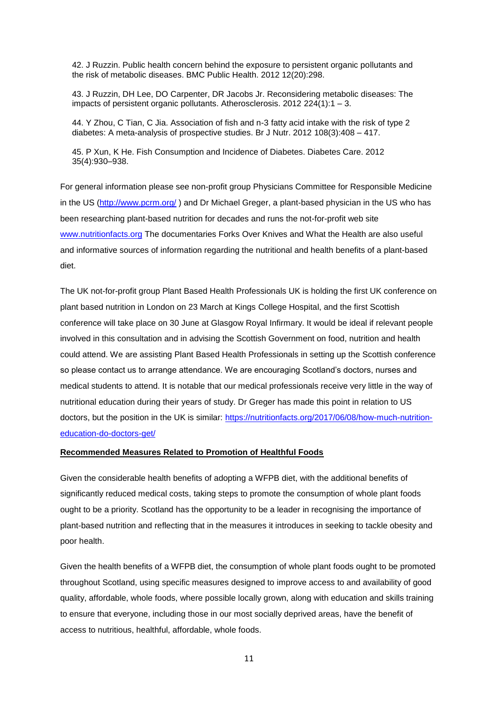42. J Ruzzin. Public health concern behind the exposure to persistent organic pollutants and the risk of metabolic diseases. BMC Public Health. 2012 12(20):298.

43. J Ruzzin, DH Lee, DO Carpenter, DR Jacobs Jr. Reconsidering metabolic diseases: The impacts of persistent organic pollutants. Atherosclerosis. 2012 224(1):1 – 3.

44. Y Zhou, C Tian, C Jia. Association of fish and n-3 fatty acid intake with the risk of type 2 diabetes: A meta-analysis of prospective studies. Br J Nutr. 2012 108(3):408 – 417.

45. P Xun, K He. Fish Consumption and Incidence of Diabetes. Diabetes Care. 2012 35(4):930–938.

For general information please see non-profit group Physicians Committee for Responsible Medicine in the US [\(http://www.pcrm.org/](http://www.pcrm.org/)) and Dr Michael Greger, a plant-based physician in the US who has been researching plant-based nutrition for decades and runs the not-for-profit web site [www.nutritionfacts.org](http://www.nutritionfacts.org/) The documentaries Forks Over Knives and What the Health are also useful and informative sources of information regarding the nutritional and health benefits of a plant-based diet.

The UK not-for-profit group Plant Based Health Professionals UK is holding the first UK conference on plant based nutrition in London on 23 March at Kings College Hospital, and the first Scottish conference will take place on 30 June at Glasgow Royal Infirmary. It would be ideal if relevant people involved in this consultation and in advising the Scottish Government on food, nutrition and health could attend. We are assisting Plant Based Health Professionals in setting up the Scottish conference so please contact us to arrange attendance. We are encouraging Scotland's doctors, nurses and medical students to attend. It is notable that our medical professionals receive very little in the way of nutritional education during their years of study. Dr Greger has made this point in relation to US doctors, but the position in the UK is similar: [https://nutritionfacts.org/2017/06/08/how-much-nutrition](https://nutritionfacts.org/2017/06/08/how-much-nutrition-education-do-doctors-get/)[education-do-doctors-get/](https://nutritionfacts.org/2017/06/08/how-much-nutrition-education-do-doctors-get/)

#### **Recommended Measures Related to Promotion of Healthful Foods**

Given the considerable health benefits of adopting a WFPB diet, with the additional benefits of significantly reduced medical costs, taking steps to promote the consumption of whole plant foods ought to be a priority. Scotland has the opportunity to be a leader in recognising the importance of plant-based nutrition and reflecting that in the measures it introduces in seeking to tackle obesity and poor health.

Given the health benefits of a WFPB diet, the consumption of whole plant foods ought to be promoted throughout Scotland, using specific measures designed to improve access to and availability of good quality, affordable, whole foods, where possible locally grown, along with education and skills training to ensure that everyone, including those in our most socially deprived areas, have the benefit of access to nutritious, healthful, affordable, whole foods.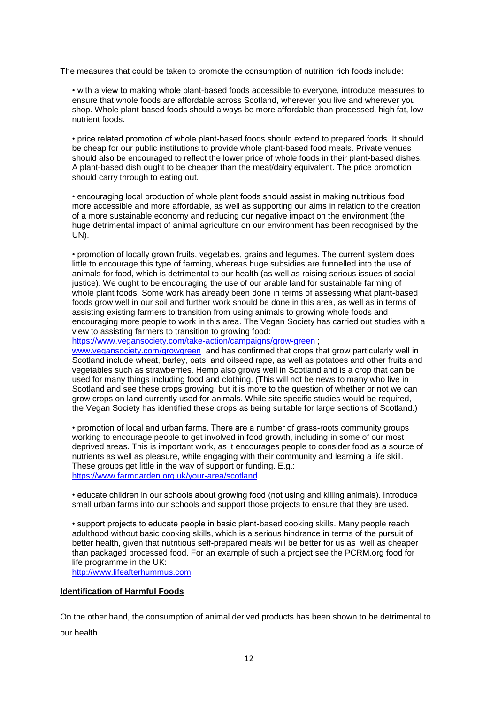The measures that could be taken to promote the consumption of nutrition rich foods include:

• with a view to making whole plant-based foods accessible to everyone, introduce measures to ensure that whole foods are affordable across Scotland, wherever you live and wherever you shop. Whole plant-based foods should always be more affordable than processed, high fat, low nutrient foods.

• price related promotion of whole plant-based foods should extend to prepared foods. It should be cheap for our public institutions to provide whole plant-based food meals. Private venues should also be encouraged to reflect the lower price of whole foods in their plant-based dishes. A plant-based dish ought to be cheaper than the meat/dairy equivalent. The price promotion should carry through to eating out.

• encouraging local production of whole plant foods should assist in making nutritious food more accessible and more affordable, as well as supporting our aims in relation to the creation of a more sustainable economy and reducing our negative impact on the environment (the huge detrimental impact of animal agriculture on our environment has been recognised by the UN).

• promotion of locally grown fruits, vegetables, grains and legumes. The current system does little to encourage this type of farming, whereas huge subsidies are funnelled into the use of animals for food, which is detrimental to our health (as well as raising serious issues of social justice). We ought to be encouraging the use of our arable land for sustainable farming of whole plant foods. Some work has already been done in terms of assessing what plant-based foods grow well in our soil and further work should be done in this area, as well as in terms of assisting existing farmers to transition from using animals to growing whole foods and encouraging more people to work in this area. The Vegan Society has carried out studies with a view to assisting farmers to transition to growing food:

<https://www.vegansociety.com/take-action/campaigns/grow-green> ;

[www.vegansociety.com/growgreen](http://www.vegansociety.com/growgreen) and has confirmed that crops that grow particularly well in Scotland include wheat, barley, oats, and oilseed rape, as well as potatoes and other fruits and vegetables such as strawberries. Hemp also grows well in Scotland and is a crop that can be used for many things including food and clothing. (This will not be news to many who live in Scotland and see these crops growing, but it is more to the question of whether or not we can grow crops on land currently used for animals. While site specific studies would be required, the Vegan Society has identified these crops as being suitable for large sections of Scotland.)

• promotion of local and urban farms. There are a number of grass-roots community groups working to encourage people to get involved in food growth, including in some of our most deprived areas. This is important work, as it encourages people to consider food as a source of nutrients as well as pleasure, while engaging with their community and learning a life skill. These groups get little in the way of support or funding. E.g.: <https://www.farmgarden.org.uk/your-area/scotland>

• educate children in our schools about growing food (not using and killing animals). Introduce small urban farms into our schools and support those projects to ensure that they are used.

• support projects to educate people in basic plant-based cooking skills. Many people reach adulthood without basic cooking skills, which is a serious hindrance in terms of the pursuit of better health, given that nutritious self-prepared meals will be better for us as well as cheaper than packaged processed food. For an example of such a project see the PCRM.org food for life programme in the UK:

[http://www.lifeafterhummus.com](http://www.lifeafterhummus.com/)

# **Identification of Harmful Foods**

On the other hand, the consumption of animal derived products has been shown to be detrimental to our health.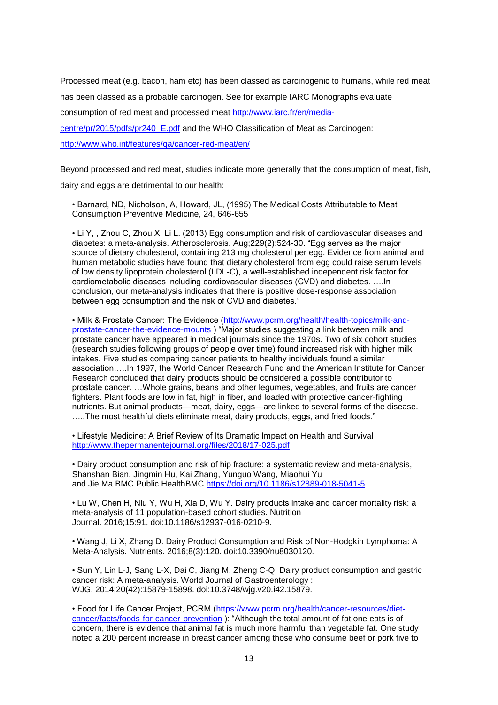Processed meat (e.g. bacon, ham etc) has been classed as carcinogenic to humans, while red meat

has been classed as a probable carcinogen. See for example IARC Monographs evaluate

consumption of red meat and processed meat [http://www.iarc.fr/en/media-](http://www.iarc.fr/en/media-centre/pr/2015/pdfs/pr240_E.pdf)

[centre/pr/2015/pdfs/pr240\\_E.pdf](http://www.iarc.fr/en/media-centre/pr/2015/pdfs/pr240_E.pdf) and the WHO Classification of Meat as Carcinogen:

<http://www.who.int/features/qa/cancer-red-meat/en/>

Beyond processed and red meat, studies indicate more generally that the consumption of meat, fish,

dairy and eggs are detrimental to our health:

• Barnard, ND, Nicholson, A, Howard, JL, (1995) The Medical Costs Attributable to Meat Consumption Preventive Medicine, 24, 646-655

• Li Y, , Zhou C, Zhou X, Li L. (2013) Egg consumption and risk of cardiovascular diseases and diabetes: a meta-analysis. Atherosclerosis. Aug;229(2):524-30. "Egg serves as the major source of dietary cholesterol, containing 213 mg cholesterol per egg. Evidence from animal and human metabolic studies have found that dietary cholesterol from egg could raise serum levels of low density lipoprotein cholesterol (LDL-C), a well-established independent risk factor for cardiometabolic diseases including cardiovascular diseases (CVD) and diabetes. ….In conclusion, our meta-analysis indicates that there is positive dose-response association between egg consumption and the risk of CVD and diabetes."

• Milk & Prostate Cancer: The Evidence [\(http://www.pcrm.org/health/health-topics/milk-and](http://www.pcrm.org/health/health-topics/milk-and-prostate-cancer-the-evidence-mounts)[prostate-cancer-the-evidence-mounts](http://www.pcrm.org/health/health-topics/milk-and-prostate-cancer-the-evidence-mounts) ) "Major studies suggesting a link between milk and prostate cancer have appeared in medical journals since the 1970s. Two of six cohort studies (research studies following groups of people over time) found increased risk with higher milk intakes. Five studies comparing cancer patients to healthy individuals found a similar association…..In 1997, the World Cancer Research Fund and the American Institute for Cancer Research concluded that dairy products should be considered a possible contributor to prostate cancer. …Whole grains, beans and other legumes, vegetables, and fruits are cancer fighters. Plant foods are low in fat, high in fiber, and loaded with protective cancer-fighting nutrients. But animal products—meat, dairy, eggs—are linked to several forms of the disease. …..The most healthful diets eliminate meat, dairy products, eggs, and fried foods."

• Lifestyle Medicine: A Brief Review of Its Dramatic Impact on Health and Survival <http://www.thepermanentejournal.org/files/2018/17-025.pdf>

• Dairy product consumption and risk of hip fracture: a systematic review and meta-analysis, Shanshan Bian, Jingmin Hu, Kai Zhang, Yunguo Wang, Miaohui Yu and Jie Ma BMC Public HealthBMC<https://doi.org/10.1186/s12889-018-5041-5>

• Lu W, Chen H, Niu Y, Wu H, Xia D, Wu Y. Dairy products intake and cancer mortality risk: a meta-analysis of 11 population-based cohort studies. Nutrition Journal. 2016;15:91. doi:10.1186/s12937-016-0210-9.

• Wang J, Li X, Zhang D. Dairy Product Consumption and Risk of Non-Hodgkin Lymphoma: A Meta-Analysis. Nutrients. 2016;8(3):120. doi:10.3390/nu8030120.

• Sun Y, Lin L-J, Sang L-X, Dai C, Jiang M, Zheng C-Q. Dairy product consumption and gastric cancer risk: A meta-analysis. World Journal of Gastroenterology : WJG. 2014;20(42):15879-15898. doi:10.3748/wjg.v20.i42.15879.

• Food for Life Cancer Project, PCRM [\(https://www.pcrm.org/health/cancer-resources/diet](https://www.pcrm.org/health/cancer-resources/diet-cancer/facts/foods-for-cancer-prevention)[cancer/facts/foods-for-cancer-prevention](https://www.pcrm.org/health/cancer-resources/diet-cancer/facts/foods-for-cancer-prevention) ): "Although the total amount of fat one eats is of concern, there is evidence that animal fat is much more harmful than vegetable fat. One study noted a 200 percent increase in breast cancer among those who consume beef or pork five to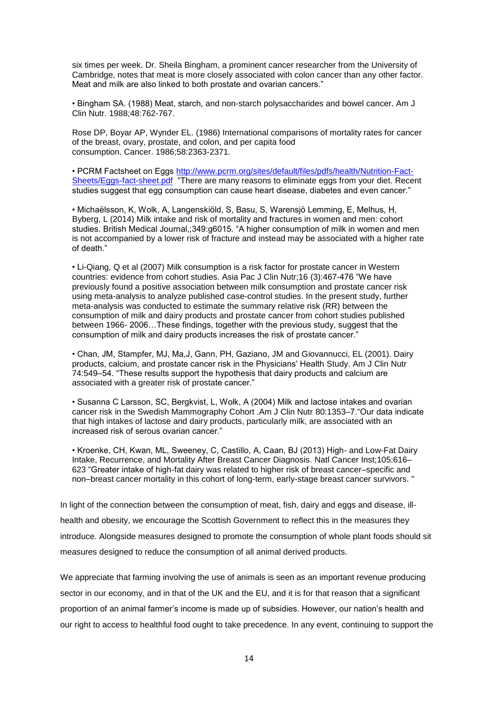six times per week. Dr. Sheila Bingham, a prominent cancer researcher from the University of Cambridge, notes that meat is more closely associated with colon cancer than any other factor. Meat and milk are also linked to both prostate and ovarian cancers."

• Bingham SA. (1988) Meat, starch, and non-starch polysaccharides and bowel cancer. Am J Clin Nutr. 1988;48:762-767.

Rose DP, Boyar AP, Wynder EL. (1986) International comparisons of mortality rates for cancer of the breast, ovary, prostate, and colon, and per capita food consumption. Cancer. 1986;58:2363-2371.

• PCRM Factsheet on Eggs [http://www.pcrm.org/sites/default/files/pdfs/health/Nutrition-Fact-](http://www.pcrm.org/sites/default/files/pdfs/health/Nutrition-Fact-Sheets/Eggs-fact-sheet.pdf)[Sheets/Eggs-fact-sheet.pdf](http://www.pcrm.org/sites/default/files/pdfs/health/Nutrition-Fact-Sheets/Eggs-fact-sheet.pdf) "There are many reasons to eliminate eggs from your diet. Recent studies suggest that egg consumption can cause heart disease, diabetes and even cancer."

• Michaëlsson, K, Wolk, A, Langenskiöld, S, Basu, S, Warensjö Lemming, E, Melhus, H, Byberg, L (2014) Milk intake and risk of mortality and fractures in women and men: cohort studies. British Medical Journal,;349:g6015. "A higher consumption of milk in women and men is not accompanied by a lower risk of fracture and instead may be associated with a higher rate of death."

• Li-Qiang, Q et al (2007) Milk consumption is a risk factor for prostate cancer in Western countries: evidence from cohort studies. Asia Pac J Clin Nutr;16 (3):467-476 "We have previously found a positive association between milk consumption and prostate cancer risk using meta-analysis to analyze published case-control studies. In the present study, further meta-analysis was conducted to estimate the summary relative risk (RR) between the consumption of milk and dairy products and prostate cancer from cohort studies published between 1966- 2006…These findings, together with the previous study, suggest that the consumption of milk and dairy products increases the risk of prostate cancer."

• Chan, JM, Stampfer, MJ, Ma,J, Gann, PH, Gaziano, JM and Giovannucci, EL (2001). Dairy products, calcium, and prostate cancer risk in the Physicians' Health Study. Am J Clin Nutr 74:549–54. "These results support the hypothesis that dairy products and calcium are associated with a greater risk of prostate cancer."

• Susanna C Larsson, SC, Bergkvist, L, Wolk, A (2004) Milk and lactose intakes and ovarian cancer risk in the Swedish Mammography Cohort .Am J Clin Nutr 80:1353–7."Our data indicate that high intakes of lactose and dairy products, particularly milk, are associated with an increased risk of serous ovarian cancer."

• Kroenke, CH, Kwan, ML, Sweeney, C, Castillo, A, Caan, BJ (2013) High- and Low-Fat Dairy Intake, Recurrence, and Mortality After Breast Cancer Diagnosis. Natl Cancer Inst;105:616– 623 "Greater intake of high-fat dairy was related to higher risk of breast cancer–specific and non–breast cancer mortality in this cohort of long-term, early-stage breast cancer survivors. "

In light of the connection between the consumption of meat, fish, dairy and eggs and disease, illhealth and obesity, we encourage the Scottish Government to reflect this in the measures they introduce. Alongside measures designed to promote the consumption of whole plant foods should sit measures designed to reduce the consumption of all animal derived products.

We appreciate that farming involving the use of animals is seen as an important revenue producing sector in our economy, and in that of the UK and the EU, and it is for that reason that a significant proportion of an animal farmer's income is made up of subsidies. However, our nation's health and our right to access to healthful food ought to take precedence. In any event, continuing to support the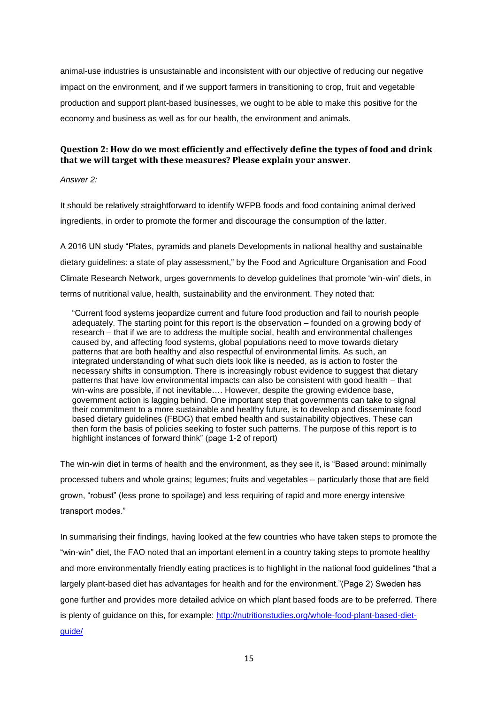animal-use industries is unsustainable and inconsistent with our objective of reducing our negative impact on the environment, and if we support farmers in transitioning to crop, fruit and vegetable production and support plant-based businesses, we ought to be able to make this positive for the economy and business as well as for our health, the environment and animals.

## **Question 2: How do we most efficiently and effectively define the types of food and drink that we will target with these measures? Please explain your answer.**

*Answer 2:* 

It should be relatively straightforward to identify WFPB foods and food containing animal derived ingredients, in order to promote the former and discourage the consumption of the latter.

A 2016 UN study "Plates, pyramids and planets Developments in national healthy and sustainable dietary guidelines: a state of play assessment," by the Food and Agriculture Organisation and Food Climate Research Network, urges governments to develop guidelines that promote 'win-win' diets, in terms of nutritional value, health, sustainability and the environment. They noted that:

"Current food systems jeopardize current and future food production and fail to nourish people adequately. The starting point for this report is the observation – founded on a growing body of research – that if we are to address the multiple social, health and environmental challenges caused by, and affecting food systems, global populations need to move towards dietary patterns that are both healthy and also respectful of environmental limits. As such, an integrated understanding of what such diets look like is needed, as is action to foster the necessary shifts in consumption. There is increasingly robust evidence to suggest that dietary patterns that have low environmental impacts can also be consistent with good health – that win-wins are possible, if not inevitable…. However, despite the growing evidence base, government action is lagging behind. One important step that governments can take to signal their commitment to a more sustainable and healthy future, is to develop and disseminate food based dietary guidelines (FBDG) that embed health and sustainability objectives. These can then form the basis of policies seeking to foster such patterns. The purpose of this report is to highlight instances of forward think" (page 1-2 of report)

The win-win diet in terms of health and the environment, as they see it, is "Based around: minimally processed tubers and whole grains; legumes; fruits and vegetables – particularly those that are field grown, "robust" (less prone to spoilage) and less requiring of rapid and more energy intensive transport modes."

In summarising their findings, having looked at the few countries who have taken steps to promote the "win-win" diet, the FAO noted that an important element in a country taking steps to promote healthy and more environmentally friendly eating practices is to highlight in the national food guidelines "that a largely plant-based diet has advantages for health and for the environment."(Page 2) Sweden has gone further and provides more detailed advice on which plant based foods are to be preferred. There is plenty of quidance on this, for example: [http://nutritionstudies.org/whole-food-plant-based-diet](http://nutritionstudies.org/whole-food-plant-based-diet-guide/)[guide/](http://nutritionstudies.org/whole-food-plant-based-diet-guide/)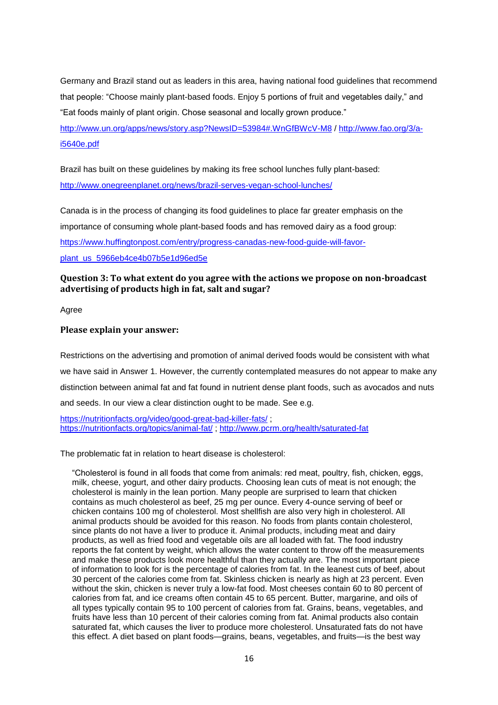Germany and Brazil stand out as leaders in this area, having national food guidelines that recommend that people: "Choose mainly plant-based foods. Enjoy 5 portions of fruit and vegetables daily," and "Eat foods mainly of plant origin. Chose seasonal and locally grown produce."

<http://www.un.org/apps/news/story.asp?NewsID=53984#.WnGfBWcV-M8> / [http://www.fao.org/3/a](http://www.fao.org/3/a-i5640e.pdf)[i5640e.pdf](http://www.fao.org/3/a-i5640e.pdf)

Brazil has built on these guidelines by making its free school lunches fully plant-based: <http://www.onegreenplanet.org/news/brazil-serves-vegan-school-lunches/>

Canada is in the process of changing its food guidelines to place far greater emphasis on the importance of consuming whole plant-based foods and has removed dairy as a food group: [https://www.huffingtonpost.com/entry/progress-canadas-new-food-guide-will-favor](https://www.huffingtonpost.com/entry/progress-canadas-new-food-guide-will-favor-plant_us_5966eb4ce4b07b5e1d96ed5e)[plant\\_us\\_5966eb4ce4b07b5e1d96ed5e](https://www.huffingtonpost.com/entry/progress-canadas-new-food-guide-will-favor-plant_us_5966eb4ce4b07b5e1d96ed5e)

# **Question 3: To what extent do you agree with the actions we propose on non-broadcast advertising of products high in fat, salt and sugar?**

Agree

## **Please explain your answer:**

Restrictions on the advertising and promotion of animal derived foods would be consistent with what we have said in Answer 1. However, the currently contemplated measures do not appear to make any distinction between animal fat and fat found in nutrient dense plant foods, such as avocados and nuts and seeds. In our view a clear distinction ought to be made. See e.g.

<https://nutritionfacts.org/video/good-great-bad-killer-fats/>; <https://nutritionfacts.org/topics/animal-fat/> ;<http://www.pcrm.org/health/saturated-fat>

The problematic fat in relation to heart disease is cholesterol:

"Cholesterol is found in all foods that come from animals: red meat, poultry, fish, chicken, eggs, milk, cheese, yogurt, and other dairy products. Choosing lean cuts of meat is not enough; the cholesterol is mainly in the lean portion. Many people are surprised to learn that chicken contains as much cholesterol as beef, 25 mg per ounce. Every 4-ounce serving of beef or chicken contains 100 mg of cholesterol. Most shellfish are also very high in cholesterol. All animal products should be avoided for this reason. No foods from plants contain cholesterol, since plants do not have a liver to produce it. Animal products, including meat and dairy products, as well as fried food and vegetable oils are all loaded with fat. The food industry reports the fat content by weight, which allows the water content to throw off the measurements and make these products look more healthful than they actually are. The most important piece of information to look for is the percentage of calories from fat. In the leanest cuts of beef, about 30 percent of the calories come from fat. Skinless chicken is nearly as high at 23 percent. Even without the skin, chicken is never truly a low-fat food. Most cheeses contain 60 to 80 percent of calories from fat, and ice creams often contain 45 to 65 percent. Butter, margarine, and oils of all types typically contain 95 to 100 percent of calories from fat. Grains, beans, vegetables, and fruits have less than 10 percent of their calories coming from fat. Animal products also contain saturated fat, which causes the liver to produce more cholesterol. Unsaturated fats do not have this effect. A diet based on plant foods—grains, beans, vegetables, and fruits—is the best way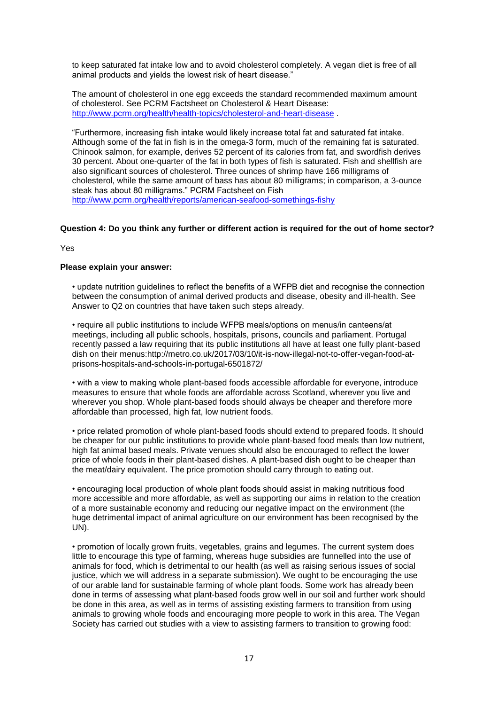to keep saturated fat intake low and to avoid cholesterol completely. A vegan diet is free of all animal products and yields the lowest risk of heart disease."

The amount of cholesterol in one egg exceeds the standard recommended maximum amount of cholesterol. See PCRM Factsheet on Cholesterol & Heart Disease: <http://www.pcrm.org/health/health-topics/cholesterol-and-heart-disease> .

"Furthermore, increasing fish intake would likely increase total fat and saturated fat intake. Although some of the fat in fish is in the omega-3 form, much of the remaining fat is saturated. Chinook salmon, for example, derives 52 percent of its calories from fat, and swordfish derives 30 percent. About one-quarter of the fat in both types of fish is saturated. Fish and shellfish are also significant sources of cholesterol. Three ounces of shrimp have 166 milligrams of cholesterol, while the same amount of bass has about 80 milligrams; in comparison, a 3-ounce steak has about 80 milligrams." PCRM Factsheet on Fish <http://www.pcrm.org/health/reports/american-seafood-somethings-fishy>

## **Question 4: Do you think any further or different action is required for the out of home sector?**

Yes

### **Please explain your answer:**

• update nutrition guidelines to reflect the benefits of a WFPB diet and recognise the connection between the consumption of animal derived products and disease, obesity and ill-health. See Answer to Q2 on countries that have taken such steps already.

• require all public institutions to include WFPB meals/options on menus/in canteens/at meetings, including all public schools, hospitals, prisons, councils and parliament. Portugal recently passed a law requiring that its public institutions all have at least one fully plant-based dish on their menus:http://metro.co.uk/2017/03/10/it-is-now-illegal-not-to-offer-vegan-food-atprisons-hospitals-and-schools-in-portugal-6501872/

• with a view to making whole plant-based foods accessible affordable for everyone, introduce measures to ensure that whole foods are affordable across Scotland, wherever you live and wherever you shop. Whole plant-based foods should always be cheaper and therefore more affordable than processed, high fat, low nutrient foods.

• price related promotion of whole plant-based foods should extend to prepared foods. It should be cheaper for our public institutions to provide whole plant-based food meals than low nutrient, high fat animal based meals. Private venues should also be encouraged to reflect the lower price of whole foods in their plant-based dishes. A plant-based dish ought to be cheaper than the meat/dairy equivalent. The price promotion should carry through to eating out.

• encouraging local production of whole plant foods should assist in making nutritious food more accessible and more affordable, as well as supporting our aims in relation to the creation of a more sustainable economy and reducing our negative impact on the environment (the huge detrimental impact of animal agriculture on our environment has been recognised by the UN).

• promotion of locally grown fruits, vegetables, grains and legumes. The current system does little to encourage this type of farming, whereas huge subsidies are funnelled into the use of animals for food, which is detrimental to our health (as well as raising serious issues of social justice, which we will address in a separate submission). We ought to be encouraging the use of our arable land for sustainable farming of whole plant foods. Some work has already been done in terms of assessing what plant-based foods grow well in our soil and further work should be done in this area, as well as in terms of assisting existing farmers to transition from using animals to growing whole foods and encouraging more people to work in this area. The Vegan Society has carried out studies with a view to assisting farmers to transition to growing food: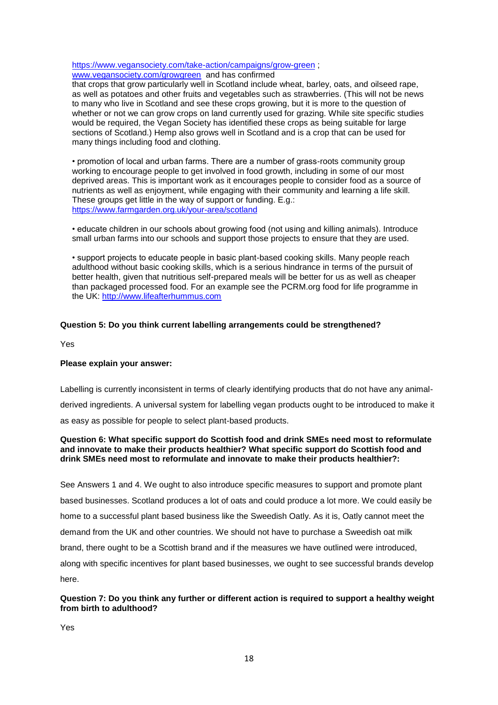<https://www.vegansociety.com/take-action/campaigns/grow-green> ; [www.vegansociety.com/growgreen](http://www.vegansociety.com/growgreen) and has confirmed

that crops that grow particularly well in Scotland include wheat, barley, oats, and oilseed rape, as well as potatoes and other fruits and vegetables such as strawberries. (This will not be news to many who live in Scotland and see these crops growing, but it is more to the question of whether or not we can grow crops on land currently used for grazing. While site specific studies would be required, the Vegan Society has identified these crops as being suitable for large sections of Scotland.) Hemp also grows well in Scotland and is a crop that can be used for many things including food and clothing.

• promotion of local and urban farms. There are a number of grass-roots community group working to encourage people to get involved in food growth, including in some of our most deprived areas. This is important work as it encourages people to consider food as a source of nutrients as well as enjoyment, while engaging with their community and learning a life skill. These groups get little in the way of support or funding. E.g.: <https://www.farmgarden.org.uk/your-area/scotland>

• educate children in our schools about growing food (not using and killing animals). Introduce small urban farms into our schools and support those projects to ensure that they are used.

• support projects to educate people in basic plant-based cooking skills. Many people reach adulthood without basic cooking skills, which is a serious hindrance in terms of the pursuit of better health, given that nutritious self-prepared meals will be better for us as well as cheaper than packaged processed food. For an example see the PCRM.org food for life programme in the UK: [http://www.lifeafterhummus.com](http://www.lifeafterhummus.com/)

# **Question 5: Do you think current labelling arrangements could be strengthened?**

Yes

## **Please explain your answer:**

Labelling is currently inconsistent in terms of clearly identifying products that do not have any animalderived ingredients. A universal system for labelling vegan products ought to be introduced to make it as easy as possible for people to select plant-based products.

## **Question 6: What specific support do Scottish food and drink SMEs need most to reformulate and innovate to make their products healthier? What specific support do Scottish food and drink SMEs need most to reformulate and innovate to make their products healthier?:**

See Answers 1 and 4. We ought to also introduce specific measures to support and promote plant based businesses. Scotland produces a lot of oats and could produce a lot more. We could easily be home to a successful plant based business like the Sweedish Oatly. As it is, Oatly cannot meet the demand from the UK and other countries. We should not have to purchase a Sweedish oat milk brand, there ought to be a Scottish brand and if the measures we have outlined were introduced, along with specific incentives for plant based businesses, we ought to see successful brands develop here.

## **Question 7: Do you think any further or different action is required to support a healthy weight from birth to adulthood?**

Yes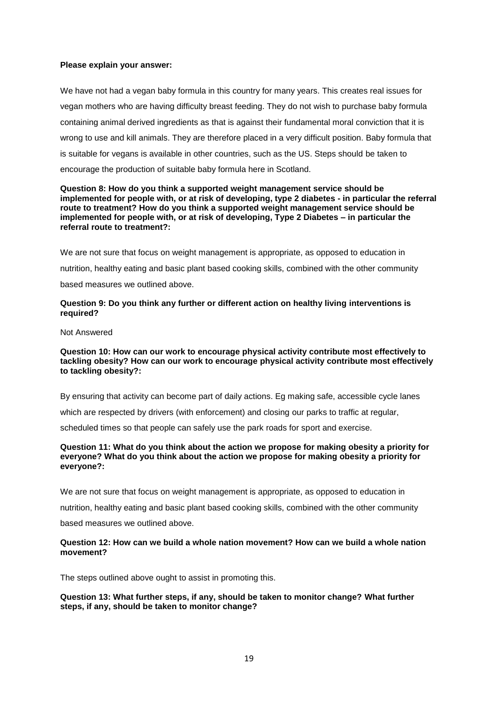### **Please explain your answer:**

We have not had a vegan baby formula in this country for many years. This creates real issues for vegan mothers who are having difficulty breast feeding. They do not wish to purchase baby formula containing animal derived ingredients as that is against their fundamental moral conviction that it is wrong to use and kill animals. They are therefore placed in a very difficult position. Baby formula that is suitable for vegans is available in other countries, such as the US. Steps should be taken to encourage the production of suitable baby formula here in Scotland.

### **Question 8: How do you think a supported weight management service should be implemented for people with, or at risk of developing, type 2 diabetes - in particular the referral route to treatment? How do you think a supported weight management service should be implemented for people with, or at risk of developing, Type 2 Diabetes – in particular the referral route to treatment?:**

We are not sure that focus on weight management is appropriate, as opposed to education in nutrition, healthy eating and basic plant based cooking skills, combined with the other community based measures we outlined above.

## **Question 9: Do you think any further or different action on healthy living interventions is required?**

Not Answered

### **Question 10: How can our work to encourage physical activity contribute most effectively to tackling obesity? How can our work to encourage physical activity contribute most effectively to tackling obesity?:**

By ensuring that activity can become part of daily actions. Eg making safe, accessible cycle lanes

which are respected by drivers (with enforcement) and closing our parks to traffic at regular,

scheduled times so that people can safely use the park roads for sport and exercise.

#### **Question 11: What do you think about the action we propose for making obesity a priority for everyone? What do you think about the action we propose for making obesity a priority for everyone?:**

We are not sure that focus on weight management is appropriate, as opposed to education in

nutrition, healthy eating and basic plant based cooking skills, combined with the other community

based measures we outlined above.

### **Question 12: How can we build a whole nation movement? How can we build a whole nation movement?**

The steps outlined above ought to assist in promoting this.

### **Question 13: What further steps, if any, should be taken to monitor change? What further steps, if any, should be taken to monitor change?**